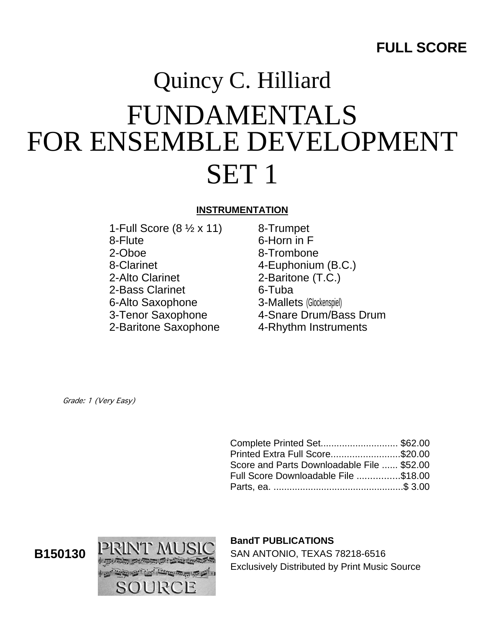# Quincy C. Hilliard FUNDAMENTALS FOR ENSEMBLE DEVELOPMENT SET 1

### **INSTRUMENTATION**

- 1-Full Score (8 ½ x 11) 8-Flute 2-Oboe 8-Clarinet 2-Alto Clarinet 2-Bass Clarinet 6-Alto Saxophone 3-Tenor Saxophone 2-Baritone Saxophone
- 8-Trumpet 6-Horn in F 8-Trombone 4-Euphonium (B.C.) 2-Baritone (T.C.) 6-Tuba 3-Mallets (Glockenspiel) 4-Snare Drum/Bass Drum 4-Rhythm Instruments

Grade: 1 (Very Easy)

| Complete Printed Set\$62.00                |  |
|--------------------------------------------|--|
| Printed Extra Full Score\$20.00            |  |
| Score and Parts Downloadable File  \$52.00 |  |
| Full Score Downloadable File \$18.00       |  |
|                                            |  |



## **BandT PUBLICATIONS**

SAN ANTONIO, TEXAS 78218-6516 Exclusively Distributed by Print Music Source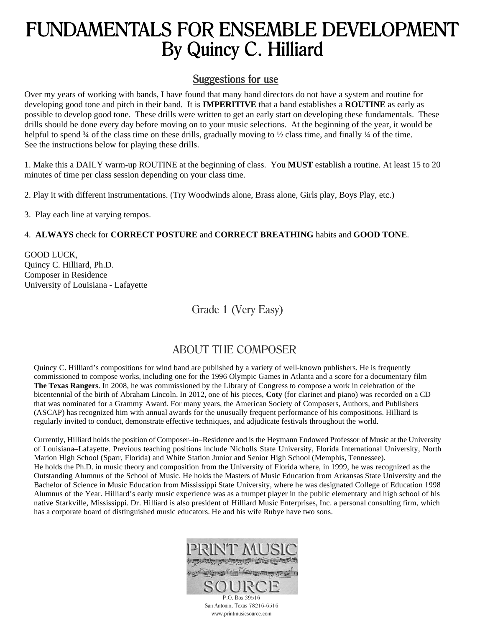# FUNDAMENTALS FOR ENSEMBLE DEVELOPMENT By Quincy C. Hilliard

## Suggestions for use

Over my years of working with bands, I have found that many band directors do not have a system and routine for developing good tone and pitch in their band. It is **IMPERITIVE** that a band establishes a **ROUTINE** as early as possible to develop good tone. These drills were written to get an early start on developing these fundamentals. These drills should be done every day before moving on to your music selections. At the beginning of the year, it would be helpful to spend 3⁄4 of the class time on these drills, gradually moving to 1⁄2 class time, and finally 1⁄4 of the time. See the instructions below for playing these drills.

1. Make this a DAILY warm-up ROUTINE at the beginning of class. You **MUST** establish a routine. At least 15 to 20 minutes of time per class session depending on your class time.

2. Play it with different instrumentations. (Try Woodwinds alone, Brass alone, Girls play, Boys Play, etc.)

3. Play each line at varying tempos.

#### 4. **ALWAYS** check for **CORRECT POSTURE** and **CORRECT BREATHING** habits and **GOOD TONE**.

GOOD LUCK, Quincy C. Hilliard, Ph.D. Composer in Residence University of Louisiana - Lafayette

Grade 1 (Very Easy)

# ABOUT THE COMPOSER

Quincy C. Hilliard's compositions for wind band are published by a variety of well-known publishers. He is frequently commissioned to compose works, including one for the 1996 Olympic Games in Atlanta and a score for a documentary film **The Texas Rangers**. In 2008, he was commissioned by the Library of Congress to compose a work in celebration of the bicentennial of the birth of Abraham Lincoln. In 2012, one of his pieces, **Coty** (for clarinet and piano) was recorded on a CD that was nominated for a Grammy Award. For many years, the American Society of Composers, Authors, and Publishers (ASCAP) has recognized him with annual awards for the unusually frequent performance of his compositions. Hilliard is regularly invited to conduct, demonstrate effective techniques, and adjudicate festivals throughout the world.

Currently, Hilliard holds the position of Composer–in–Residence and is the Heymann Endowed Professor of Music at the University of Louisiana–Lafayette. Previous teaching positions include Nicholls State University, Florida International University, North Marion High School (Sparr, Florida) and White Station Junior and Senior High School (Memphis, Tennessee). He holds the Ph.D. in music theory and composition from the University of Florida where, in 1999, he was recognized as the Outstanding Alumnus of the School of Music. He holds the Masters of Music Education from Arkansas State University and the Bachelor of Science in Music Education from Mississippi State University, where he was designated College of Education 1998 Alumnus of the Year. Hilliard's early music experience was as a trumpet player in the public elementary and high school of his native Starkville, Mississippi. Dr. Hilliard is also president of Hilliard Music Enterprises, Inc. a personal consulting firm, which has a corporate board of distinguished music educators. He and his wife Rubye have two sons.



San Antonio, Texas 78216-6516 www.printmusicsource.com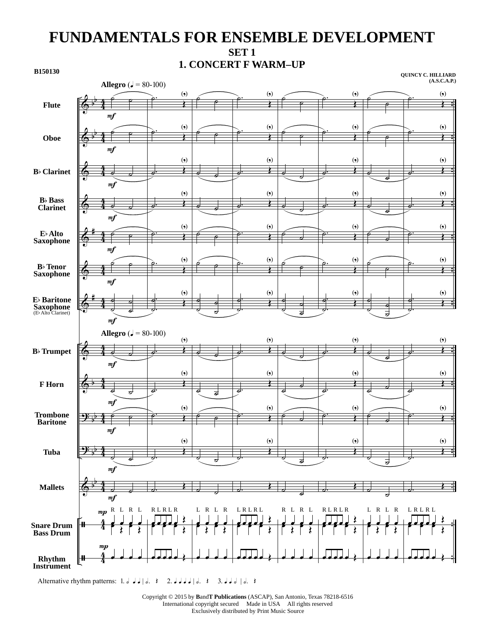# **FUNDAMENTALS FOR ENSEMBLE DEVELOPMENT SET 1 1. CONCERT F WARM–UP**



Alternative rhythm patterns: 1.  $J \cup J \cup R$ .  $\rightarrow$  2.  $J \cup J \cup R$ .  $\rightarrow$  3.  $J \cup J \cup R$ .  $\rightarrow$ 

Copyright © 2015 by **B**and**T Publications** (ASCAP), San Antonio, Texas 78218-6516 International copyright secured Made in USA All rights reserved Exclusively distributed by Print Music Source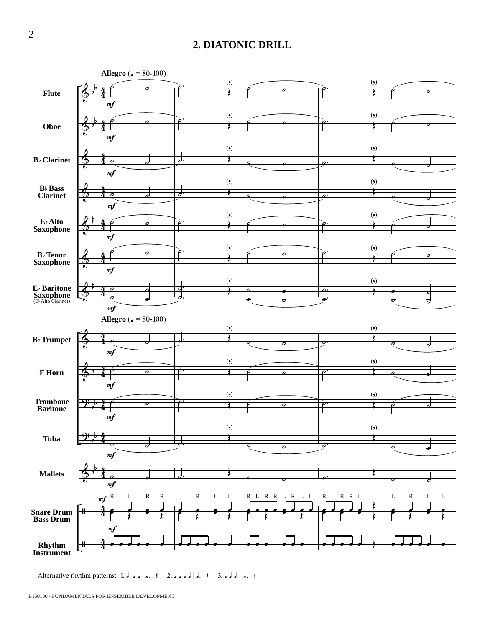#### **2. DIATONIC DRILL**



Alternative rhythm patterns: 1. d d d d d.  $\{$  2. d d d d d.  $\{$  3. d d d  $\{$ d.  $\}$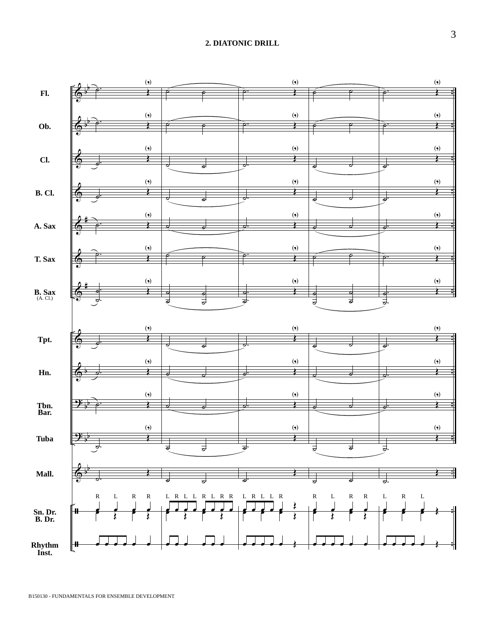#### **2. DIATONIC DRILL**

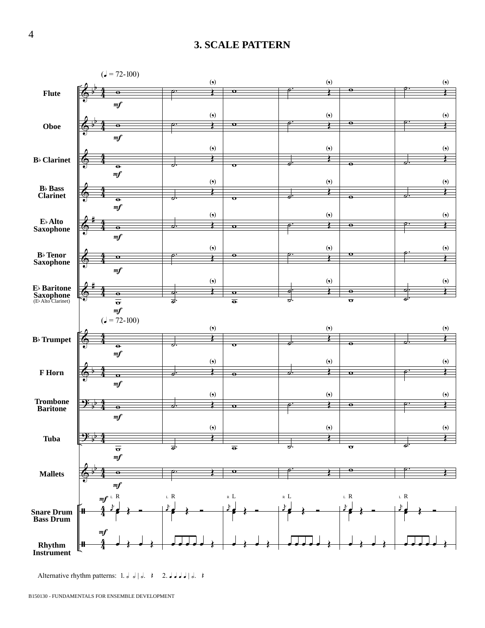#### **3. SCALE PATTERN**



Alternative rhythm patterns: 1. d d | d.  $\uparrow$  2. d d d d | d.  $\uparrow$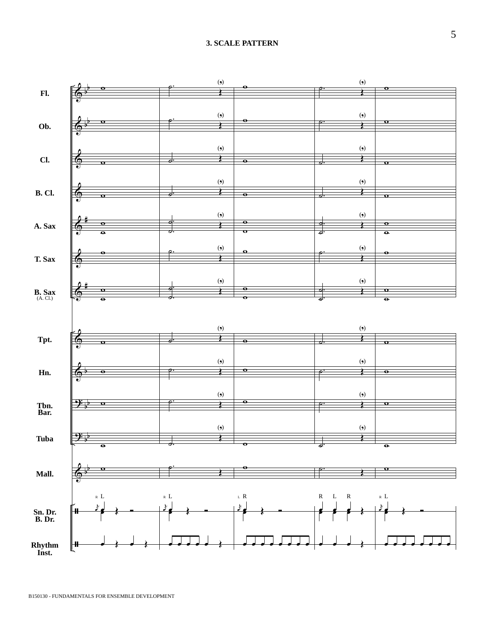#### **3. SCALE PATTERN**

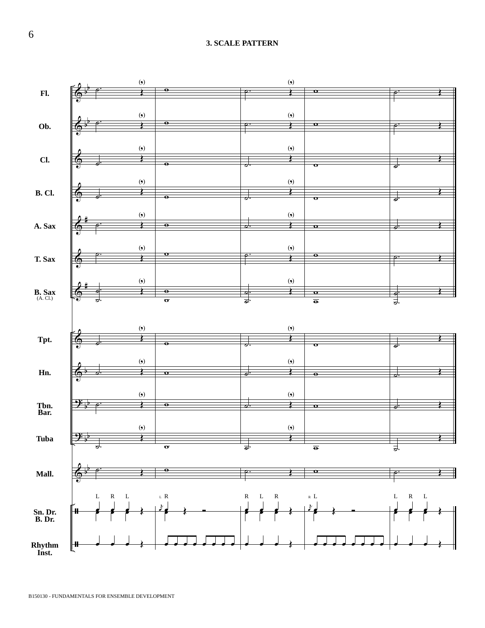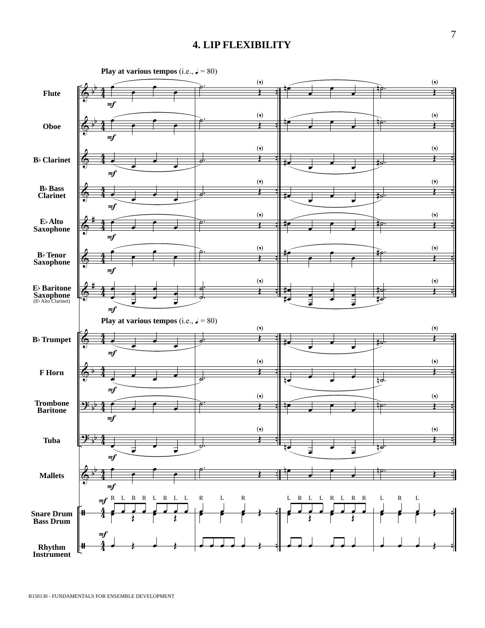#### **4. LIP FLEXIBILITY**

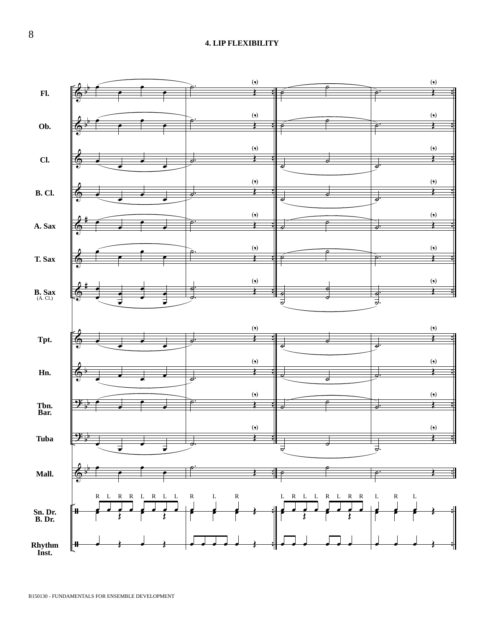#### **4. LIP FLEXIBILITY**



8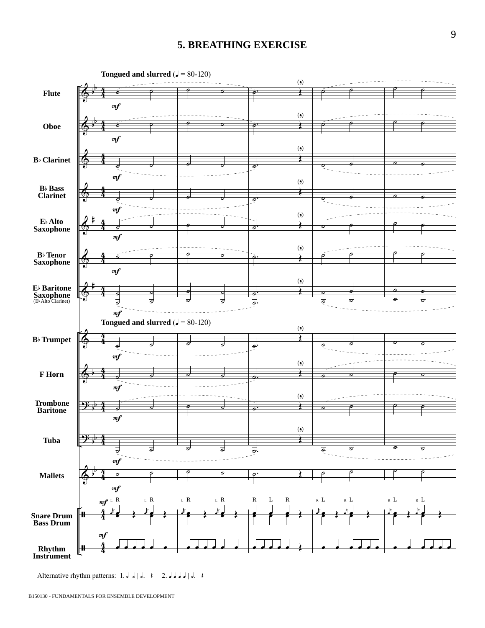#### **5. BREATHING EXERCISE**



Alternative rhythm patterns: 1. d d | d.  $\uparrow$  2. d d d | d.  $\uparrow$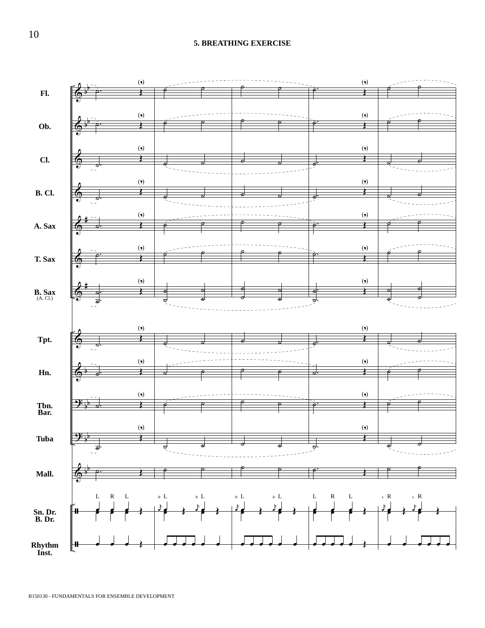#### **5. BREATHING EXERCISE**

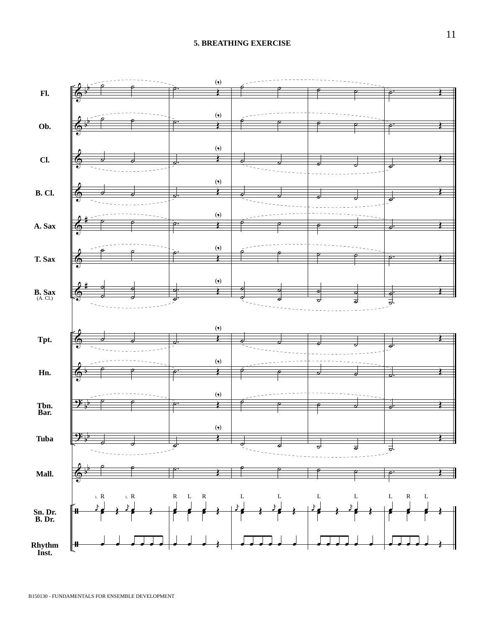#### **5. BREATHING EXERCISE**

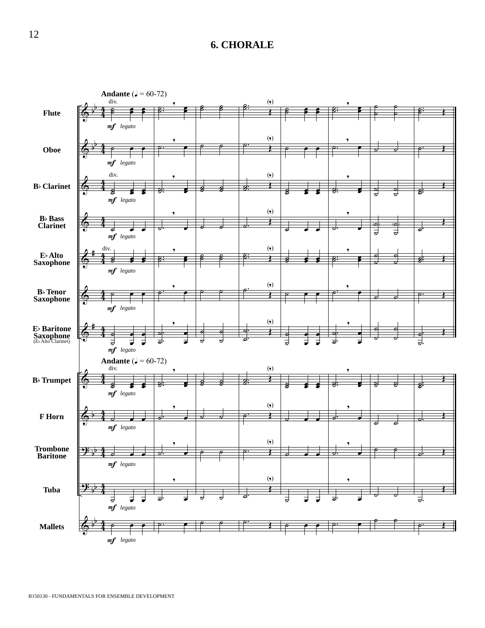## **6. CHORALE**